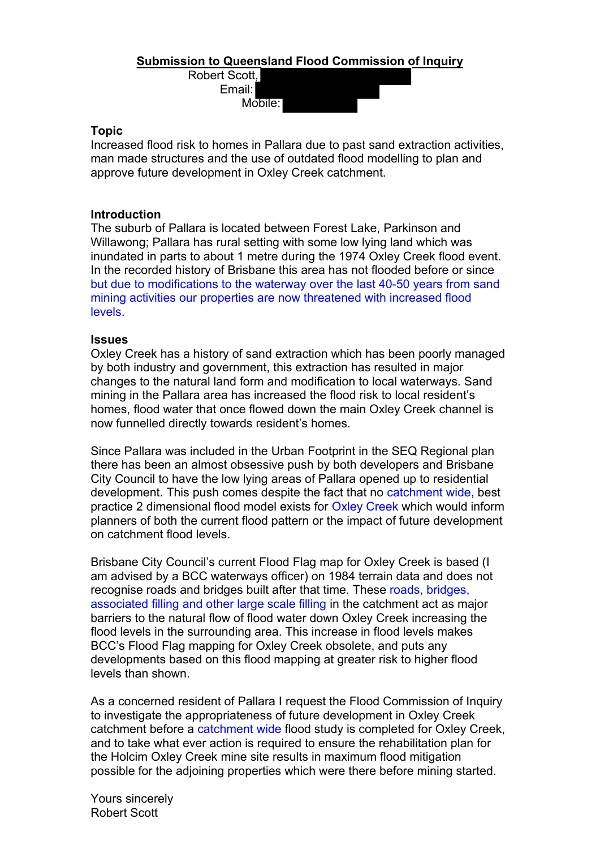# **Submission to Queensland Flood Commission of Inquiry**

Robert Scott, Email: Mobile:

### **Topic**

Increased flood risk to homes in Pallara due to past sand extraction activities, man made structures and the use of outdated flood modelling to plan and approve future development in Oxley Creek catchment.

# **Introduction**

The suburb of Pallara is located between Forest Lake, Parkinson and Willawong; Pallara has rural setting with some low lying land which was inundated in parts to about 1 metre during the 1974 Oxley Creek flood event. In the recorded history of Brisbane this area has not flooded before or since but due to modifications to the waterway over the last 40-50 years from sand mining activities our properties are now threatened with increased flood levels.

#### **Issues**

Oxley Creek has a history of sand extraction which has been poorly managed by both industry and government, this extraction has resulted in major changes to the natural land form and modification to local waterways. Sand mining in the Pallara area has increased the flood risk to local resident's homes, flood water that once flowed down the main Oxley Creek channel is now funnelled directly towards resident's homes.

Since Pallara was included in the Urban Footprint in the SEQ Regional plan there has been an almost obsessive push by both developers and Brisbane City Council to have the low lying areas of Pallara opened up to residential development. This push comes despite the fact that no catchment wide, best practice 2 dimensional flood model exists for Oxley Creek which would inform planners of both the current flood pattern or the impact of future development on catchment flood levels.

Brisbane City Council's current Flood Flag map for Oxley Creek is based (I am advised by a BCC waterways officer) on 1984 terrain data and does not recognise roads and bridges built after that time. These roads, bridges, associated filling and other large scale filling in the catchment act as major barriers to the natural flow of flood water down Oxley Creek increasing the flood levels in the surrounding area. This increase in flood levels makes BCC's Flood Flag mapping for Oxley Creek obsolete, and puts any developments based on this flood mapping at greater risk to higher flood levels than shown.

As a concerned resident of Pallara I request the Flood Commission of Inquiry to investigate the appropriateness of future development in Oxley Creek catchment before a catchment wide flood study is completed for Oxley Creek, and to take what ever action is required to ensure the rehabilitation plan for the Holcim Oxley Creek mine site results in maximum flood mitigation possible for the adjoining properties which were there before mining started.

Yours sincerely Robert Scott